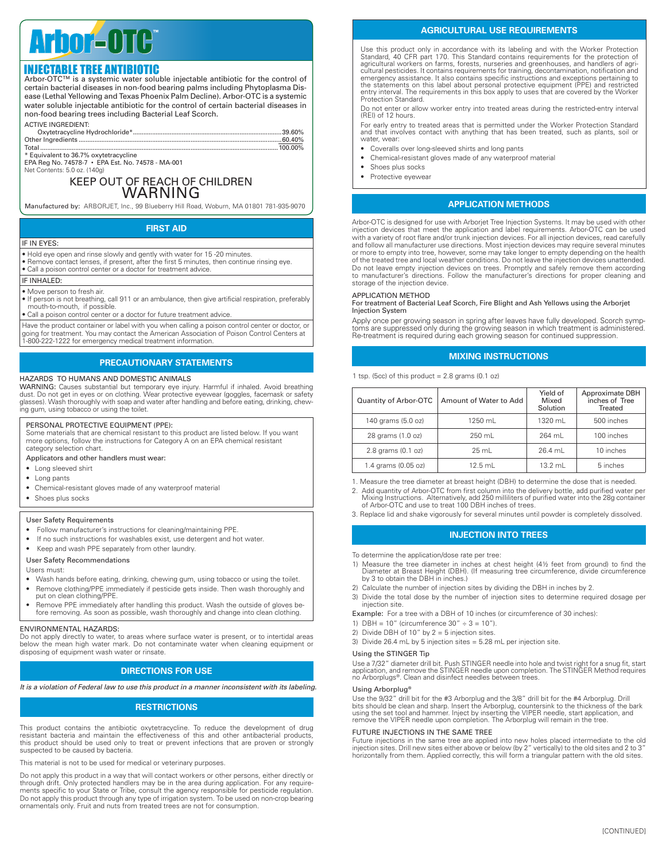# Arbor **OTC**

**INJECTABLE TREE ANTIBIOTIC**<br>Arbor-OTC™ is a systemic water soluble injectable antibiotic for the control of certain bacterial diseases in non-food bearing palms including Phytoplasma Disease (Lethal Yellowing and Texas Phoenix Palm Decline). Arbor-OTC is a systemic water soluble injectable antibiotic for the control of certain bacterial diseases in non-food bearing trees including Bacterial Leaf Scorch.

| <b>ACTIVE INGREDIENT:</b> |  |
|---------------------------|--|
|                           |  |

Total ........................................................................................................................................100.00% \* Equivalent to 36.7% oxytetracycline EPA Reg No. 74578-7 • EPA Est. No. 74578 - MA-001

Net Contents: 5.0 oz. (140g)

## KEEP OUT OF REACH OF CHILDREN WARNING

Manufactured by: ARBORJET, Inc., 99 Blueberry Hill Road, Woburn, MA 01801 781-935-9070

## **FIRST AID**

#### IF IN EYES:

• Hold eye open and rinse slowly and gently with water for 15 -20 minutes. • Remove contact lenses, if present, after the first 5 minutes, then continue rinsing eye.

• Call a poison control center or a doctor for treatment advice.

#### IF INHALED:

• Move person to fresh air.

• If person is not breathing, call 911 or an ambulance, then give artificial respiration, preferably mouth-to-mouth, if possible.

• Call a poison control center or a doctor for future treatment advice

Have the product container or label with you when calling a poison control center or doctor, or<br>going for treatment. You may contact the American Association of Poison Control Centers at<br>1-800-222-1222 for emergency medica

## **PRECAUTIONARY STATEMENTS**

## HAZARDS TO HUMANS AND DOMESTIC ANIMALS

WARNING: Causes substantial but temporary eye injury. Harmful if inhaled. Avoid breathing dust. Do not get in eyes or on clothing. Wear protective eyewear (goggles, facemask or safety glasses). Wash thoroughly with soap and water after handling and before eating, drinking, chewing gum, using tobacco or using the toilet.

#### PERSONAL PROTECTIVE EQUIPMENT (PPE):

Some materials that are chemical resistant to this product are listed below. If you want more options, follow the instructions for Category A on an EPA chemical resistant category selection chart.

#### Applicators and other handlers must wear:

- Long sleeved shirt
- Long pants
- Chemical-resistant gloves made of any waterproof material
- Shoes plus socks

#### User Safety Requirements

- Follow manufacturer's instructions for cleaning/maintaining PPE.
- If no such instructions for washables exist, use detergent and hot water.
- Keep and wash PPE separately from other laundry.
- User Safety Recommendations

#### Users must:

- Wash hands before eating, drinking, chewing gum, using tobacco or using the toilet.
- Remove clothing/PPE immediately if pesticide gets inside. Then wash thoroughly and put on clean clothing/PPE.
- Remove PPE immediately after handling this product. Wash the outside of gloves before removing. As soon as possible, wash thoroughly and change into clean clothing.

#### ENVIRONMENTAL HAZARDS:

Do not apply directly to water, to areas where surface water is present, or to intertidal areas below the mean high water mark. Do not contaminate water when cleaning equipment or disposing of equipment wash water or rinsate.

## **DIRECTIONS FOR USE**

*It is a violation of Federal law to use this product in a manner inconsistent with its labeling.*

## **Restrictions**

This product contains the antibiotic oxytetracycline. To reduce the development of drug resistant bacteria and maintain the effectiveness of this and other antibacterial products, this product should be used only to treat or prevent infections that are proven or strongly suspected to be caused by bacteria.

This material is not to be used for medical or veterinary purposes.

Do not apply this product in a way that will contact workers or other persons, either directly or through drift. Only protected handlers may be in the area during application. For any requirements specific to your State or Tribe, consult the agency responsible for pesticide regulation. Do not apply this product through any type of irrigation system. To be used on non-crop bearing ornamentals only. Fruit and nuts from treated trees are not for consumption.

## **AGRICULTURAL USE REQUIREMENTS**

Use this product only in accordance with its labeling and with the Worker Protection Standard, 40 CFR part 170. This Standard contains requirements for the protection of agricultural workers on farms, forests, nurseries and greenhouses, and handlers of agriagricultural workers on farms, forests, nurseries and greenhouses, and handlers of agricultural pesticides. It contains requirements for training, decontamination, notification and emergency assistance. It also contains sp Protection Standard.

Do not enter or allow worker entry into treated areas during the restricted-entry interval (REI) of 12 hours.

For early entry to treated areas that is permitted under the Worker Protection Standard and that involves contact with anything that has been treated, such as plants, soil or water, wear:

- Coveralls over long-sleeved shirts and long pants
- Chemical-resistant gloves made of any waterproof material
- Shoes plus socks
- Protective eyewear

## **Application Methods**

Arbor-OTC is designed for use with Arborjet Tree Injection Systems. It may be used with other injection devices that meet the application and label requirements. Arbor-OTC can be used with a variety of root flare and/or trunk injection devices. For all injection devices, read carefully and follow all manufacturer use directions. Most injection devices may require several minutes or more to empty into tree, however, some may take longer to empty depending on the health of the treated tree and local weather conditions. Do not leave the injection devices unattended.<br>Do not leave empty injection devices on trees. Promptly and safely remove them according<br>to manufacturer's directions. Follow storage of the injection device.

#### Application Method

For treatment of Bacterial Leaf Scorch, Fire Blight and Ash Yellows using the Arborjet Injection System

Apply once per growing season in spring after leaves have fully developed. Scorch symptoms are suppressed only during the growing season in which treatment is administered. Re-treatment is required during each growing season for continued suppression.

## **Mixing Instructions**

1 tsp. (5cc) of this product  $= 2.8$  grams (0.1 oz)

| Quantity of Arbor-OTC | Amount of Water to Add | Yield of<br>Mixed<br>Solution | Approximate DBH<br>inches of Tree<br>Treated |
|-----------------------|------------------------|-------------------------------|----------------------------------------------|
| 140 grams (5.0 oz)    | 1250 mL                | 1320 mL                       | 500 inches                                   |
| 28 grams (1.0 oz)     | 250 mL                 | 264 mL                        | 100 inches                                   |
| 2.8 grams (0.1 oz)    | 25 mL                  | 26.4 mL                       | 10 inches                                    |
| 1.4 grams (0.05 oz)   | $12.5$ mL              | $13.2$ mL                     | 5 inches                                     |

1. Measure the tree diameter at breast height (DBH) to determine the dose that is needed. 2. Add quantity of Arbor-OTC from first column into the delivery bottle, add purified water per Mixing Instructions. Alternatively, add 250 milliliters of purified water into the 28g container of Arbor-OTC and use to treat 100 DBH inches of trees.

3. Replace lid and shake vigorously for several minutes until powder is completely dissolved.

## **Injection into Trees**

- To determine the application/dose rate per tree:
- 1) Measure the tree diameter in inches at chest height (4½ feet from ground) to find the Diameter at Breast Height (DBH). (If measuring tree circumference, divide circumference by 3 to obtain the DBH in inches.)
- 2) Calculate the number of injection sites by dividing the DBH in inches by 2.
- 3) Divide the total dose by the number of injection sites to determine required dosage per injection site.

Example: For a tree with a DBH of 10 inches (or circumference of 30 inches)

- 1) DBH =  $10''$  (circumference  $30'' \div 3 = 10''$ ).
- 2) Divide DBH of  $10''$  by  $2 = 5$  injection sites.
- 3) Divide 26.4 mL by 5 injection sites = 5.28 mL per injection site.

#### Using the STINGER Tip

Use a 7/32" diameter drill bit. Push STINGER needle into hole and twist right for a snug fit, start<br>application, and remove the STINGER needle upon completion. The STINGER Method requires<br>no Arborplugs®. Clean and disinfec

#### Using Arborplug®

Use the 9/32" drill bit for the #3 Arborplug and the 3/8" drill bit for the #4 Arborplug. Drill<br>bits should be clean and sharp. Insert the Arborplug, countersink to the thickness of the bark<br>using the set tool and hammer.

#### Future Injections in the Same Tree

Future injections in the same tree are applied into new holes placed intermediate to the old injection sites. Drill new sites either above or below (by 2" vertically) to the old sites and 2 to 3" horizontally from them. Applied correctly, this will form a triangular pattern with the old sites.